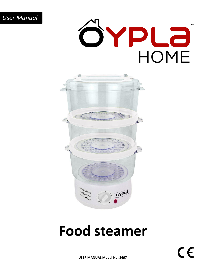### *User Manual*





# **Food steamer**

**USER MANUAL Model No: 3697**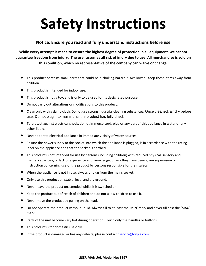# **Safety Instructions**

#### **Notice: Ensure you read and fully understand instructions before use**

**While every attempt is made to ensure the highest degree of protection in all equipment, we cannot guarantee freedom from injury. The user assumes all risk of injury due to use. All merchandise is sold on this condition, which no representative of the company can waive or change.**

- This product contains small parts that could be a choking hazard if swallowed. Keep these items away from children.
- This product is intended for indoor use.
- This product is not a toy, and is only to be used for its designated purpose.
- Do not carry out alterations or modifications to this product.
- Clean only with a damp cloth. Do not use strong industrial cleaning substances. Once cleaned, air dry before use. Do not plug into mains until the product has fully dried.
- To protect against electrical shock, do not immerse cord, plug or any part of this appliance in water or any other liquid.
- Never operate electrical appliance in immediate vicinity of water sources.
- Ensure the power supply to the socket into which the appliance is plugged, is in accordance with the rating label on the appliance and that the socket is earthed.
- This product is not intended for use by persons (including children) with reduced physical, sensory and mental capacities, or lack of experience and knowledge, unless they have been given supervision or instruction concerning use of the product by persons responsible for their safety.
- When the appliance is not in use, always unplug from the mains socket.
- Only use this product on stable, level and dry ground.
- Never leave the product unattended whilst it is switched on.
- Keep the product out of reach of children and do not allow children to use it.
- Never move the product by pulling on the lead.
- Do not operate the product without liquid. Always fill to at least the 'MIN' mark and never fill past the 'MAX' mark.
- Parts of the unit become very hot during operation. Touch only the handles or buttons.
- This product is for domestic use only.
- If the product is damaged or has any defects, please contact [cservice@oypla.com](mailto:cservice@oypla.com)

#### **USER MANUAL Model No: 3697**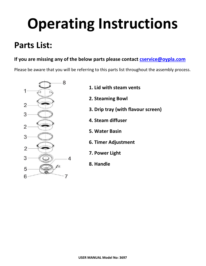# **Operating Instructions**

## **Parts List:**

### **If you are missing any of the below parts please contact [cservice@oypla.com](mailto:cservice@oypla.com)**

Please be aware that you will be referring to this parts list throughout the assembly process.



- **1. Lid with steam vents**
- **2. Steaming Bowl**
- **3. Drip tray (with flavour screen)**
- **4. Steam diffuser**
- **5. Water Basin**
- **6. Timer Adjustment**
- **7. Power Light**
- **8. Handle**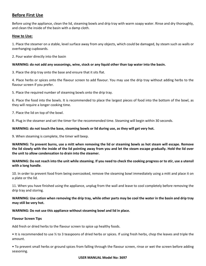#### **Before First Use**

Before using the appliance, clean the lid, steaming bowls and drip tray with warm soapy water. Rinse and dry thoroughly, and clean the inside of the basin with a damp cloth.

#### **How to Use:**

1. Place the steamer on a stable, level surface away from any objects, which could be damaged, by steam such as walls or overhanging cupboards.

2. Pour water directly into the basin

#### **WARNING: do not add any seasonings, wine, stock or any liquid other than tap water into the basin.**

3. Place the drip tray onto the base and ensure that it sits flat.

4. Place herbs or spices onto the flavour screen to add flavour. You may use the drip tray without adding herbs to the flavour screen if you prefer.

5. Place the required number of steaming bowls onto the drip tray.

6. Place the food into the bowls. It is recommended to place the largest pieces of food into the bottom of the bowl, as they will require a longer cooking time.

7. Place the lid on top of the bowl.

8. Plug in the steamer and set the timer for the recommended time. Steaming will begin within 30 seconds.

#### **WARNING: do not touch the base, steaming bowls or lid during use, as they will get very hot.**

9. When steaming is complete, the timer will beep.

**WARNING: To prevent burns, use a mitt when removing the lid or steaming bowls as hot steam will escape. Remove the lid slowly with the inside of the lid pointing away from you and let the steam escape gradually. Hold the lid over the unit to allow condensation to drain into the steamer.**

**WARNING: Do not reach into the unit while steaming. If you need to check the cooking progress or to stir, use a utensil with a long handle**.

10. In order to prevent food from being overcooked, remove the steaming bowl immediately using a mitt and place it on a plate or the lid.

11. When you have finished using the appliance, unplug from the wall and leave to cool completely before removing the drip tray and storing.

#### **WARNING: Use cation when removing the drip tray, while other parts may be cool the water in the basin and drip tray may still be very hot.**

#### **WARNING: Do not use this appliance without steaming bowl and lid in place.**

#### **Flavour Screen Tips**

Add fresh or dried herbs to the flavour screen to spice up healthy foods.

• It is recommended to use ½ to 3 teaspoons of dried herbs or spices. If using fresh herbs, chop the leaves and triple the amount.

• To prevent small herbs or ground spices from falling through the flavour screen, rinse or wet the screen before adding seasoning.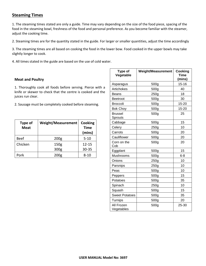#### **Steaming Times**

1. The steaming times stated are only a guide. Time may vary depending on the size of the food piece, spacing of the food in the steaming bowl, freshness of the food and personal preference. As you become familiar with the steamer, adjust the cooking time.

2. Steaming times are for the quantity stated in the guide. For larger or smaller quantities, adjust the time accordingly

3. The steaming times are all based on cooking the food in the lower bow. Food cooked in the upper bowls may take slightly longer to cook.

4. All times stated in the guide are based on the use of cold water.

#### **Meat and Poultry**

1. Thoroughly cook all foods before serving. Pierce with a knife or skewer to check that the centre is cooked and the juices run clear.

2. Sausage must be completely cooked before steaming.

| Type of<br><b>Meat</b> | <b>Weight/Measurement</b> | Cooking<br><b>Time</b><br>(mins) |
|------------------------|---------------------------|----------------------------------|
| <b>Beef</b>            | 200 <sub>g</sub>          | $5 - 10$                         |
| Chicken                | 150 <sub>g</sub>          | $12 - 15$                        |
|                        | 300g                      | $30 - 35$                        |
| Pork                   | 200 <sub>g</sub>          | $8 - 10$                         |

| Type of<br>Vegetable      | <b>Weight/Measurement</b> | Cooking<br><b>Time</b><br>(mins) |
|---------------------------|---------------------------|----------------------------------|
| Asparagus                 | 500g                      | $15 - 16$                        |
| Artichokes                | 500g                      | 40                               |
| <b>Beans</b>              | 250g                      | 18                               |
| <b>Beetroot</b>           | 500g                      | 30                               |
| <b>Broccoli</b>           | 500g                      | 15-20                            |
| <b>Bok Choy</b>           | 500g                      | 15-20                            |
| <b>Brussel</b><br>Sprouts | 500g                      | 25                               |
| Cabbage                   | 500g                      | 15                               |
| Celery                    | 250g                      | 10                               |
| Carrots                   | 500g                      | 20                               |
| Cauliflower               | 500g                      | 20                               |
| Corn on the<br>Cob        | 500g                      | 20                               |
| Eggplant                  | 500g                      | 15                               |
| Mushrooms                 | 500g                      | $6 - 8$                          |
| Onions                    | 250g                      | 10                               |
| Parsnips                  | 250g                      | 10                               |
| Peas                      | 500g                      | 10                               |
| Peppers                   | 500g                      | 15                               |
| Potatoes                  | 500g                      | 35                               |
| Spinach                   | 250g                      | 10                               |
| Squash                    | 500g                      | 15                               |
| <b>Sweet Potatoes</b>     | 500g                      | 35                               |
| Turnips                   | 500g                      | 20                               |
| All Frozen<br>Vegetables  | 500g                      | 25-30                            |